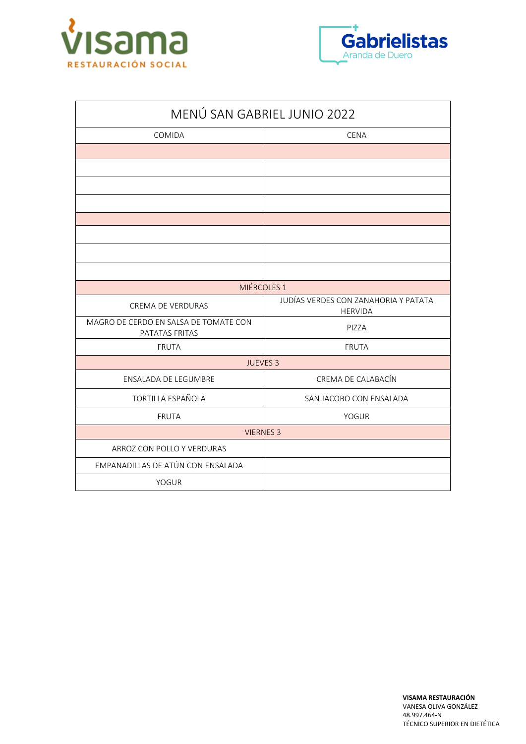



| MENÚ SAN GABRIEL JUNIO 2022                             |                                                        |  |
|---------------------------------------------------------|--------------------------------------------------------|--|
| COMIDA                                                  | <b>CENA</b>                                            |  |
|                                                         |                                                        |  |
|                                                         |                                                        |  |
|                                                         |                                                        |  |
|                                                         |                                                        |  |
|                                                         |                                                        |  |
|                                                         |                                                        |  |
|                                                         |                                                        |  |
|                                                         |                                                        |  |
|                                                         | MIÉRCOLES <sub>1</sub>                                 |  |
| <b>CREMA DE VERDURAS</b>                                | JUDÍAS VERDES CON ZANAHORIA Y PATATA<br><b>HERVIDA</b> |  |
| MAGRO DE CERDO EN SALSA DE TOMATE CON<br>PATATAS FRITAS | PIZZA                                                  |  |
| <b>FRUTA</b>                                            | <b>FRUTA</b>                                           |  |
| <b>JUEVES 3</b>                                         |                                                        |  |
| ENSALADA DE LEGUMBRE                                    | CREMA DE CALABACÍN                                     |  |
| <b>TORTILLA ESPAÑOLA</b>                                | SAN JACOBO CON ENSALADA                                |  |
| <b>FRUTA</b>                                            | <b>YOGUR</b>                                           |  |
| <b>VIERNES 3</b>                                        |                                                        |  |
| ARROZ CON POLLO Y VERDURAS                              |                                                        |  |
| EMPANADILLAS DE ATÚN CON ENSALADA                       |                                                        |  |
| <b>YOGUR</b>                                            |                                                        |  |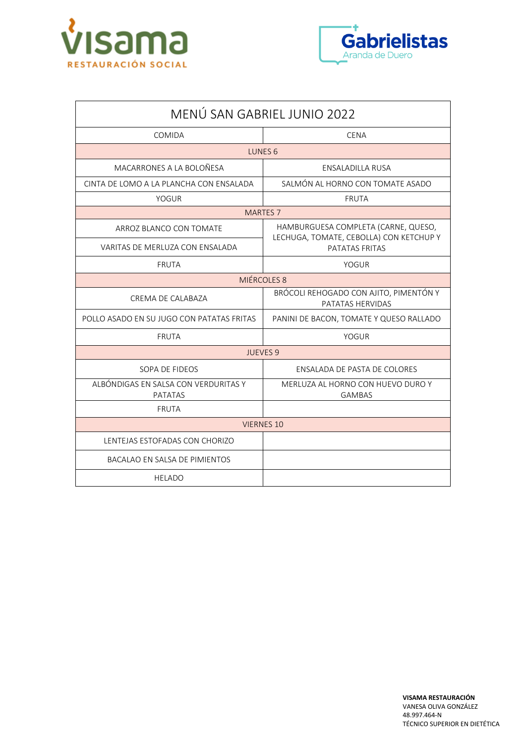



| MENÚ SAN GABRIEL JUNIO 2022                            |                                                                                |  |
|--------------------------------------------------------|--------------------------------------------------------------------------------|--|
| COMIDA                                                 | <b>CENA</b>                                                                    |  |
| LUNES <sub>6</sub>                                     |                                                                                |  |
| MACARRONES A LA BOLOÑESA                               | <b>ENSALADILLA RUSA</b>                                                        |  |
| CINTA DE LOMO A LA PLANCHA CON ENSALADA                | SALMÓN AL HORNO CON TOMATE ASADO                                               |  |
| YOGUR                                                  | <b>FRUTA</b>                                                                   |  |
| <b>MARTES 7</b>                                        |                                                                                |  |
| ARROZ BLANCO CON TOMATE                                | HAMBURGUESA COMPLETA (CARNE, QUESO,<br>LECHUGA, TOMATE, CEBOLLA) CON KETCHUP Y |  |
| VARITAS DE MERLUZA CON ENSALADA                        | PATATAS FRITAS                                                                 |  |
| <b>FRUTA</b>                                           | YOGUR                                                                          |  |
| MIÉRCOLES 8                                            |                                                                                |  |
| CREMA DE CALABAZA                                      | BRÓCOLI REHOGADO CON AJITO, PIMENTÓN Y<br>PATATAS HERVIDAS                     |  |
| POLLO ASADO EN SU JUGO CON PATATAS FRITAS              | PANINI DE BACON, TOMATE Y QUESO RALLADO                                        |  |
| <b>FRUTA</b>                                           | YOGUR                                                                          |  |
| <b>JUEVES 9</b>                                        |                                                                                |  |
| SOPA DE FIDEOS                                         | <b>FNSALADA DE PASTA DE COLORES</b>                                            |  |
| ALBÓNDIGAS EN SALSA CON VERDURITAS Y<br><b>PATATAS</b> | MERLUZA AL HORNO CON HUEVO DURO Y<br><b>GAMBAS</b>                             |  |
| <b>FRUTA</b>                                           |                                                                                |  |
| <b>VIERNES 10</b>                                      |                                                                                |  |
| LENTEJAS ESTOFADAS CON CHORIZO                         |                                                                                |  |
| <b>BACALAO EN SALSA DE PIMIENTOS</b>                   |                                                                                |  |
| <b>HELADO</b>                                          |                                                                                |  |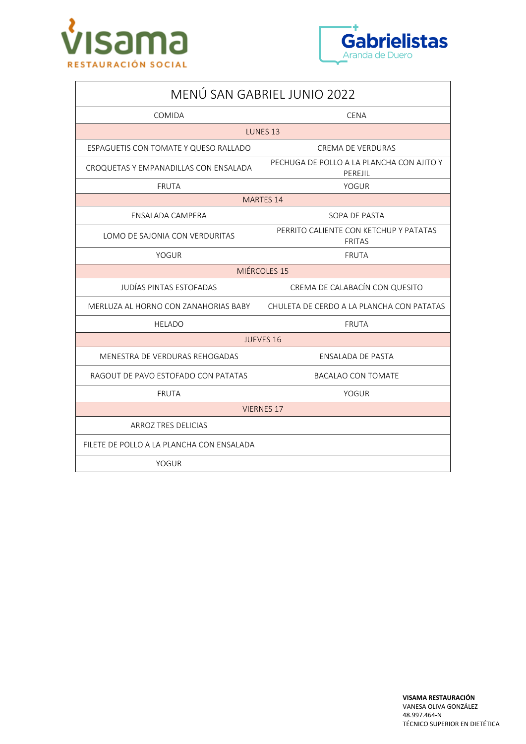



| MENÚ SAN GABRIEL JUNIO 2022               |                                                         |  |
|-------------------------------------------|---------------------------------------------------------|--|
| COMIDA                                    | <b>CENA</b>                                             |  |
| LUNES 13                                  |                                                         |  |
| ESPAGUETIS CON TOMATE Y QUESO RALLADO     | <b>CREMA DE VERDURAS</b>                                |  |
| CROQUETAS Y EMPANADILLAS CON ENSALADA     | PECHUGA DE POLLO A LA PLANCHA CON AJITO Y<br>PEREJIL    |  |
| <b>FRUTA</b>                              | YOGUR                                                   |  |
| MARTES 14                                 |                                                         |  |
| ENSALADA CAMPERA                          | SOPA DE PASTA                                           |  |
| LOMO DE SAJONIA CON VERDURITAS            | PERRITO CALIENTE CON KETCHUP Y PATATAS<br><b>FRITAS</b> |  |
| <b>YOGUR</b>                              | <b>FRUTA</b>                                            |  |
| MIÉRCOLES 15                              |                                                         |  |
| <b>JUDÍAS PINTAS ESTOFADAS</b>            | CREMA DE CALABACÍN CON QUESITO                          |  |
| MERLUZA AL HORNO CON ZANAHORIAS BABY      | CHULETA DE CERDO A LA PLANCHA CON PATATAS               |  |
| <b>HELADO</b>                             | <b>FRUTA</b>                                            |  |
| <b>JUEVES 16</b>                          |                                                         |  |
| MENESTRA DE VERDURAS REHOGADAS            | <b>ENSALADA DE PASTA</b>                                |  |
| RAGOUT DE PAVO ESTOFADO CON PATATAS       | <b>BACALAO CON TOMATE</b>                               |  |
| <b>FRUTA</b>                              | <b>YOGUR</b>                                            |  |
| <b>VIERNES 17</b>                         |                                                         |  |
| <b>ARROZ TRES DELICIAS</b>                |                                                         |  |
| FILETE DE POLLO A LA PLANCHA CON ENSALADA |                                                         |  |
| <b>YOGUR</b>                              |                                                         |  |